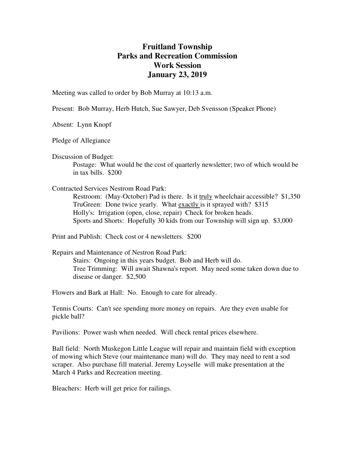## **Fruitland Township Parks and Recreation Commission Work Session January 23, 2019**

Meeting was called to order by Bob Murray at 10:13 a.m.

Present: Bob Murray, Herb Hutch, Sue Sawyer, Deb Svensson (Speaker Phone)

Absent: Lynn Knopf

Pledge of Allegiance

Discussion of Budget:

 Postage: What would be the cost of quarterly newsletter; two of which would be in tax bills. \$200

## Contracted Services Nestrom Road Park:

 Restroom: (May-October) Pad is there. Is it truly wheelchair accessible? \$1,350 TruGreen: Done twice yearly. What exactly is it sprayed with? \$315 Holly's: Irrigation (open, close, repair) Check for broken heads. Sports and Shorts: Hopefully 30 kids from our Township will sign up. \$3,000

Print and Publish: Check cost or 4 newsletters. \$200

Repairs and Maintenance of Nestron Road Park:

 Stairs: Ongoing in this years budget. Bob and Herb will do. Tree Trimming: Will await Shawna's report. May need some taken down due to disease or danger. \$2,500

Flowers and Bark at Hall: No. Enough to care for already.

Tennis Courts: Can't see spending more money on repairs. Are they even usable for pickle ball?

Pavilions: Power wash when needed. Will check rental prices elsewhere.

Ball field: North Muskegon Little League will repair and maintain field with exception of mowing which Steve (our maintenance man) will do. They may need to rent a sod scraper. Also purchase fill material. Jeremy Loyselle will make presentation at the March 4 Parks and Recreation meeting.

Bleachers: Herb will get price for railings.